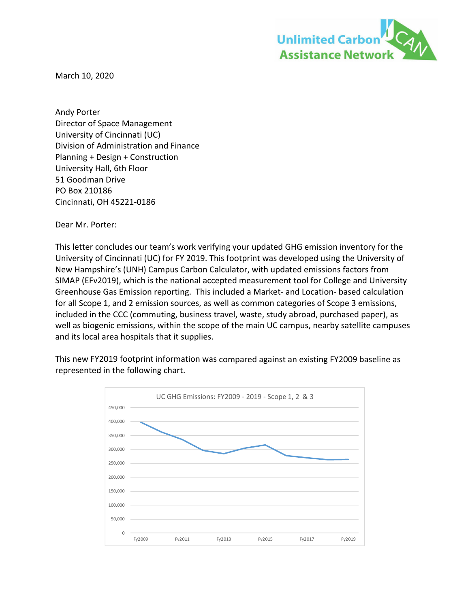

March 10, 2020

Andy Porter Director of Space Management University of Cincinnati (UC) Division of Administration and Finance Planning + Design + Construction University Hall, 6th Floor 51 Goodman Drive PO Box 210186 Cincinnati, OH 45221‐0186

Dear Mr. Porter:

This letter concludes our team's work verifying your updated GHG emission inventory for the University of Cincinnati (UC) for FY 2019. This footprint was developed using the University of New Hampshire's (UNH) Campus Carbon Calculator, with updated emissions factors from SIMAP (EFv2019), which is the national accepted measurement tool for College and University Greenhouse Gas Emission reporting. This included a Market‐ and Location‐ based calculation for all Scope 1, and 2 emission sources, as well as common categories of Scope 3 emissions, included in the CCC (commuting, business travel, waste, study abroad, purchased paper), as well as biogenic emissions, within the scope of the main UC campus, nearby satellite campuses and its local area hospitals that it supplies.

This new FY2019 footprint information was compared against an existing FY2009 baseline as represented in the following chart.